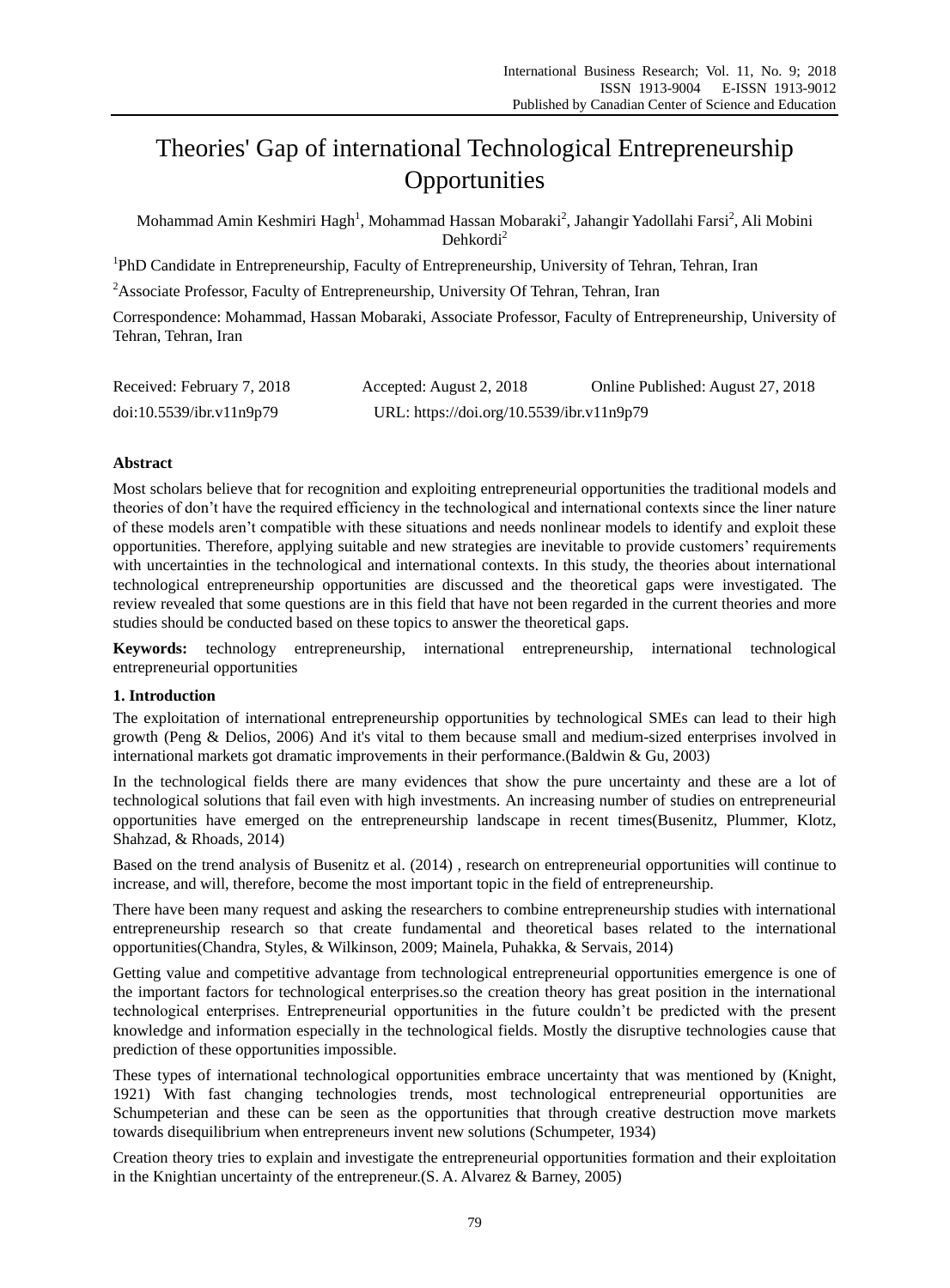# Theories' Gap of international Technological Entrepreneurship **Opportunities**

Mohammad Amin Keshmiri Hagh $^{\rm l}$ , Mohammad Hassan Mobaraki $^{\rm 2}$ , Jahangir Yadollahi Farsi $^{\rm 2}$ , Ali Mobini Dehkordi<sup>2</sup>

<sup>1</sup>PhD Candidate in Entrepreneurship, Faculty of Entrepreneurship, University of Tehran, Tehran, Iran

<sup>2</sup>Associate Professor, Faculty of Entrepreneurship, University Of Tehran, Tehran, Iran

Correspondence: Mohammad, Hassan Mobaraki, Associate Professor, Faculty of Entrepreneurship, University of Tehran, Tehran, Iran

| Received: February 7, 2018 | Accepted: August 2, 2018                  | Online Published: August 27, 2018 |
|----------------------------|-------------------------------------------|-----------------------------------|
| doi:10.5539/ibr.v11n9p79   | URL: https://doi.org/10.5539/ibr.v11n9p79 |                                   |

# **Abstract**

Most scholars believe that for recognition and exploiting entrepreneurial opportunities the traditional models and theories of don't have the required efficiency in the technological and international contexts since the liner nature of these models aren't compatible with these situations and needs nonlinear models to identify and exploit these opportunities. Therefore, applying suitable and new strategies are inevitable to provide customers' requirements with uncertainties in the technological and international contexts. In this study, the theories about international technological entrepreneurship opportunities are discussed and the theoretical gaps were investigated. The review revealed that some questions are in this field that have not been regarded in the current theories and more studies should be conducted based on these topics to answer the theoretical gaps.

**Keywords:** technology entrepreneurship, international entrepreneurship, international technological entrepreneurial opportunities

# **1. Introduction**

The exploitation of international entrepreneurship opportunities by technological SMEs can lead to their high growth (Peng & Delios, 2006) And it's vital to them because small and medium-sized enterprises involved in international markets got dramatic improvements in their performance.(Baldwin & Gu, 2003)

In the technological fields there are many evidences that show the pure uncertainty and these are a lot of technological solutions that fail even with high investments. An increasing number of studies on entrepreneurial opportunities have emerged on the entrepreneurship landscape in recent times(Busenitz, Plummer, Klotz, Shahzad, & Rhoads, 2014)

Based on the trend analysis of Busenitz et al. (2014) , research on entrepreneurial opportunities will continue to increase, and will, therefore, become the most important topic in the field of entrepreneurship.

There have been many request and asking the researchers to combine entrepreneurship studies with international entrepreneurship research so that create fundamental and theoretical bases related to the international opportunities(Chandra, Styles, & Wilkinson, 2009; Mainela, Puhakka, & Servais, 2014)

Getting value and competitive advantage from technological entrepreneurial opportunities emergence is one of the important factors for technological enterprises.so the creation theory has great position in the international technological enterprises. Entrepreneurial opportunities in the future couldn't be predicted with the present knowledge and information especially in the technological fields. Mostly the disruptive technologies cause that prediction of these opportunities impossible.

These types of international technological opportunities embrace uncertainty that was mentioned by (Knight, 1921) With fast changing technologies trends, most technological entrepreneurial opportunities are Schumpeterian and these can be seen as the opportunities that through creative destruction move markets towards disequilibrium when entrepreneurs invent new solutions (Schumpeter, 1934)

Creation theory tries to explain and investigate the entrepreneurial opportunities formation and their exploitation in the Knightian uncertainty of the entrepreneur.(S. A. Alvarez & Barney, 2005)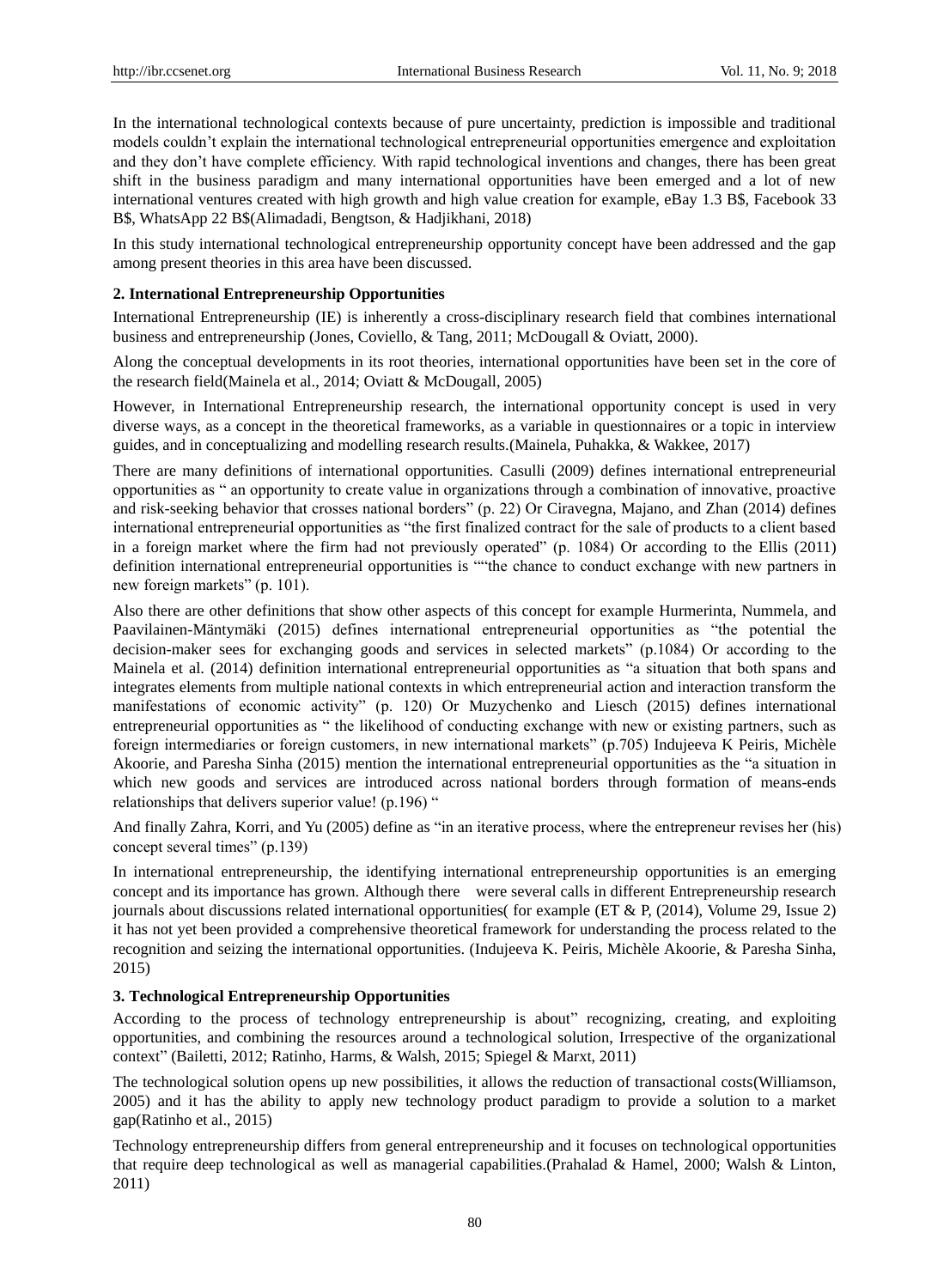In the international technological contexts because of pure uncertainty, prediction is impossible and traditional models couldn't explain the international technological entrepreneurial opportunities emergence and exploitation and they don't have complete efficiency. With rapid technological inventions and changes, there has been great shift in the business paradigm and many international opportunities have been emerged and a lot of new international ventures created with high growth and high value creation for example, eBay 1.3 B\$, Facebook 33 B\$, WhatsApp 22 B\$(Alimadadi, Bengtson, & Hadjikhani, 2018)

In this study international technological entrepreneurship opportunity concept have been addressed and the gap among present theories in this area have been discussed.

# **2. International Entrepreneurship Opportunities**

International Entrepreneurship (IE) is inherently a cross-disciplinary research field that combines international business and entrepreneurship (Jones, Coviello, & Tang, 2011; McDougall & Oviatt, 2000).

Along the conceptual developments in its root theories, international opportunities have been set in the core of the research field(Mainela et al., 2014; Oviatt & McDougall, 2005)

However, in International Entrepreneurship research, the international opportunity concept is used in very diverse ways, as a concept in the theoretical frameworks, as a variable in questionnaires or a topic in interview guides, and in conceptualizing and modelling research results.(Mainela, Puhakka, & Wakkee, 2017)

There are many definitions of international opportunities. Casulli (2009) defines international entrepreneurial opportunities as " an opportunity to create value in organizations through a combination of innovative, proactive and risk-seeking behavior that crosses national borders" (p. 22) Or Ciravegna, Majano, and Zhan (2014) defines international entrepreneurial opportunities as "the first finalized contract for the sale of products to a client based in a foreign market where the firm had not previously operated" (p. 1084) Or according to the Ellis (2011) definition international entrepreneurial opportunities is ""the chance to conduct exchange with new partners in new foreign markets" (p. 101).

Also there are other definitions that show other aspects of this concept for example Hurmerinta, Nummela, and Paavilainen-Mäntymäki (2015) defines international entrepreneurial opportunities as "the potential the decision-maker sees for exchanging goods and services in selected markets" (p.1084) Or according to the Mainela et al. (2014) definition international entrepreneurial opportunities as "a situation that both spans and integrates elements from multiple national contexts in which entrepreneurial action and interaction transform the manifestations of economic activity" (p. 120) Or Muzychenko and Liesch (2015) defines international entrepreneurial opportunities as " the likelihood of conducting exchange with new or existing partners, such as foreign intermediaries or foreign customers, in new international markets" (p.705) Indujeeva K Peiris, Michèle Akoorie, and Paresha Sinha (2015) mention the international entrepreneurial opportunities as the "a situation in which new goods and services are introduced across national borders through formation of means-ends relationships that delivers superior value! (p.196) "

And finally Zahra, Korri, and Yu (2005) define as "in an iterative process, where the entrepreneur revises her (his) concept several times" (p.139)

In international entrepreneurship, the identifying international entrepreneurship opportunities is an emerging concept and its importance has grown. Although there were several calls in different Entrepreneurship research journals about discussions related international opportunities( for example (ET & P, (2014), Volume 29, Issue 2) it has not yet been provided a comprehensive theoretical framework for understanding the process related to the recognition and seizing the international opportunities. (Indujeeva K. Peiris, Michèle Akoorie, & Paresha Sinha, 2015)

# **3. Technological Entrepreneurship Opportunities**

According to the process of technology entrepreneurship is about" recognizing, creating, and exploiting opportunities, and combining the resources around a technological solution, Irrespective of the organizational context" (Bailetti, 2012; Ratinho, Harms, & Walsh, 2015; Spiegel & Marxt, 2011)

The technological solution opens up new possibilities, it allows the reduction of transactional costs(Williamson, 2005) and it has the ability to apply new technology product paradigm to provide a solution to a market gap(Ratinho et al., 2015)

Technology entrepreneurship differs from general entrepreneurship and it focuses on technological opportunities that require deep technological as well as managerial capabilities.(Prahalad & Hamel, 2000; Walsh & Linton, 2011)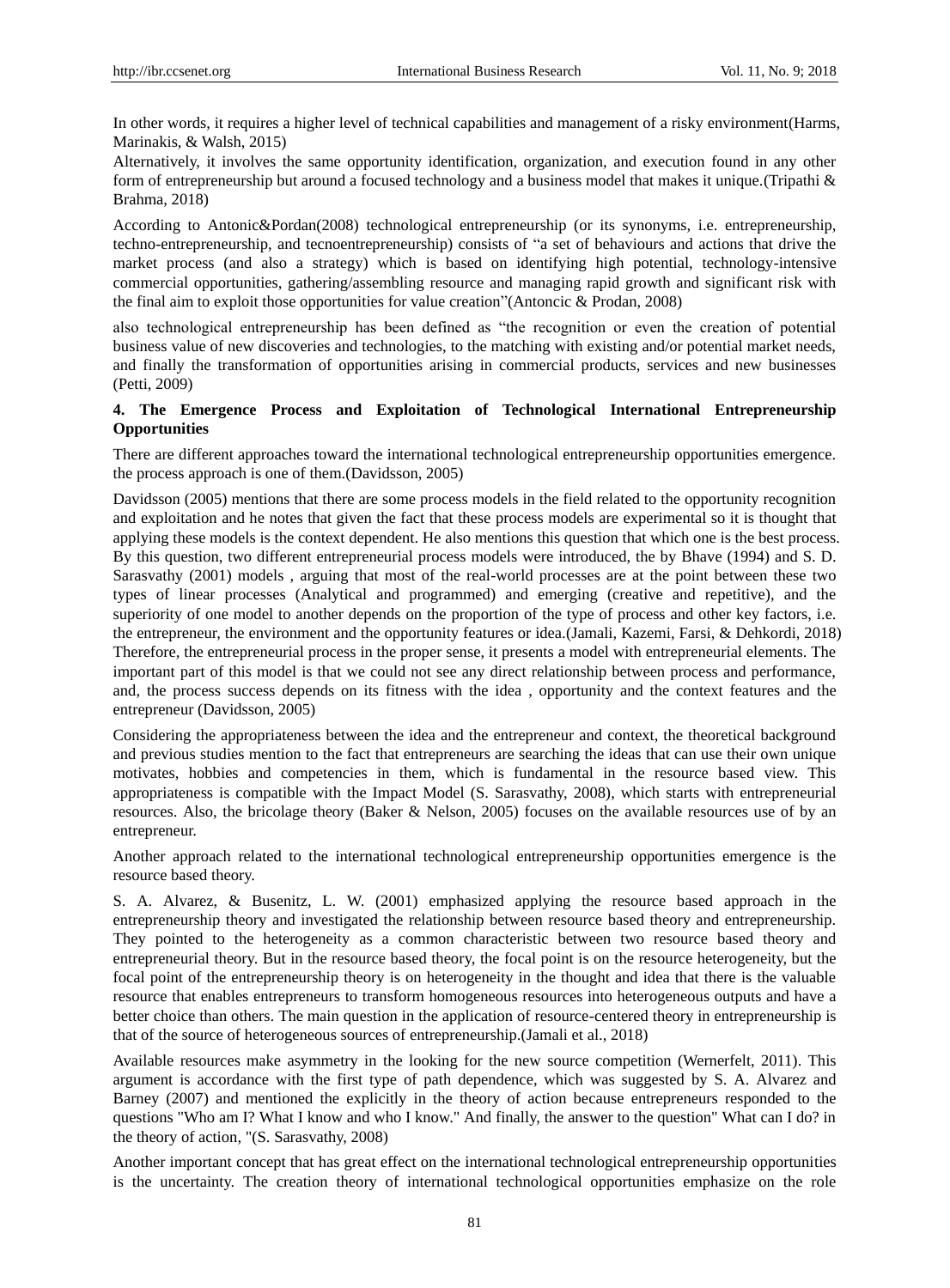In other words, it requires a higher level of technical capabilities and management of a risky environment(Harms, Marinakis, & Walsh, 2015)

Alternatively, it involves the same opportunity identification, organization, and execution found in any other form of entrepreneurship but around a focused technology and a business model that makes it unique.(Tripathi & Brahma, 2018)

According to Antonic&Pordan(2008) technological entrepreneurship (or its synonyms, i.e. entrepreneurship, techno-entrepreneurship, and tecnoentrepreneurship) consists of "a set of behaviours and actions that drive the market process (and also a strategy) which is based on identifying high potential, technology-intensive commercial opportunities, gathering/assembling resource and managing rapid growth and significant risk with the final aim to exploit those opportunities for value creation"(Antoncic & Prodan, 2008)

also technological entrepreneurship has been defined as "the recognition or even the creation of potential business value of new discoveries and technologies, to the matching with existing and/or potential market needs, and finally the transformation of opportunities arising in commercial products, services and new businesses (Petti, 2009)

# **4. The Emergence Process and Exploitation of Technological International Entrepreneurship Opportunities**

There are different approaches toward the international technological entrepreneurship opportunities emergence. the process approach is one of them.(Davidsson, 2005)

Davidsson (2005) mentions that there are some process models in the field related to the opportunity recognition and exploitation and he notes that given the fact that these process models are experimental so it is thought that applying these models is the context dependent. He also mentions this question that which one is the best process. By this question, two different entrepreneurial process models were introduced, the by Bhave (1994) and S. D. Sarasvathy (2001) models , arguing that most of the real-world processes are at the point between these two types of linear processes (Analytical and programmed) and emerging (creative and repetitive), and the superiority of one model to another depends on the proportion of the type of process and other key factors, i.e. the entrepreneur, the environment and the opportunity features or idea.(Jamali, Kazemi, Farsi, & Dehkordi, 2018) Therefore, the entrepreneurial process in the proper sense, it presents a model with entrepreneurial elements. The important part of this model is that we could not see any direct relationship between process and performance, and, the process success depends on its fitness with the idea , opportunity and the context features and the entrepreneur (Davidsson, 2005)

Considering the appropriateness between the idea and the entrepreneur and context, the theoretical background and previous studies mention to the fact that entrepreneurs are searching the ideas that can use their own unique motivates, hobbies and competencies in them, which is fundamental in the resource based view. This appropriateness is compatible with the Impact Model (S. Sarasvathy, 2008), which starts with entrepreneurial resources. Also, the bricolage theory (Baker & Nelson, 2005) focuses on the available resources use of by an entrepreneur.

Another approach related to the international technological entrepreneurship opportunities emergence is the resource based theory.

S. A. Alvarez, & Busenitz, L. W. (2001) emphasized applying the resource based approach in the entrepreneurship theory and investigated the relationship between resource based theory and entrepreneurship. They pointed to the heterogeneity as a common characteristic between two resource based theory and entrepreneurial theory. But in the resource based theory, the focal point is on the resource heterogeneity, but the focal point of the entrepreneurship theory is on heterogeneity in the thought and idea that there is the valuable resource that enables entrepreneurs to transform homogeneous resources into heterogeneous outputs and have a better choice than others. The main question in the application of resource-centered theory in entrepreneurship is that of the source of heterogeneous sources of entrepreneurship.(Jamali et al., 2018)

Available resources make asymmetry in the looking for the new source competition (Wernerfelt, 2011). This argument is accordance with the first type of path dependence, which was suggested by S. A. Alvarez and Barney (2007) and mentioned the explicitly in the theory of action because entrepreneurs responded to the questions "Who am I? What I know and who I know." And finally, the answer to the question" What can I do? in the theory of action, "(S. Sarasvathy, 2008)

Another important concept that has great effect on the international technological entrepreneurship opportunities is the uncertainty. The creation theory of international technological opportunities emphasize on the role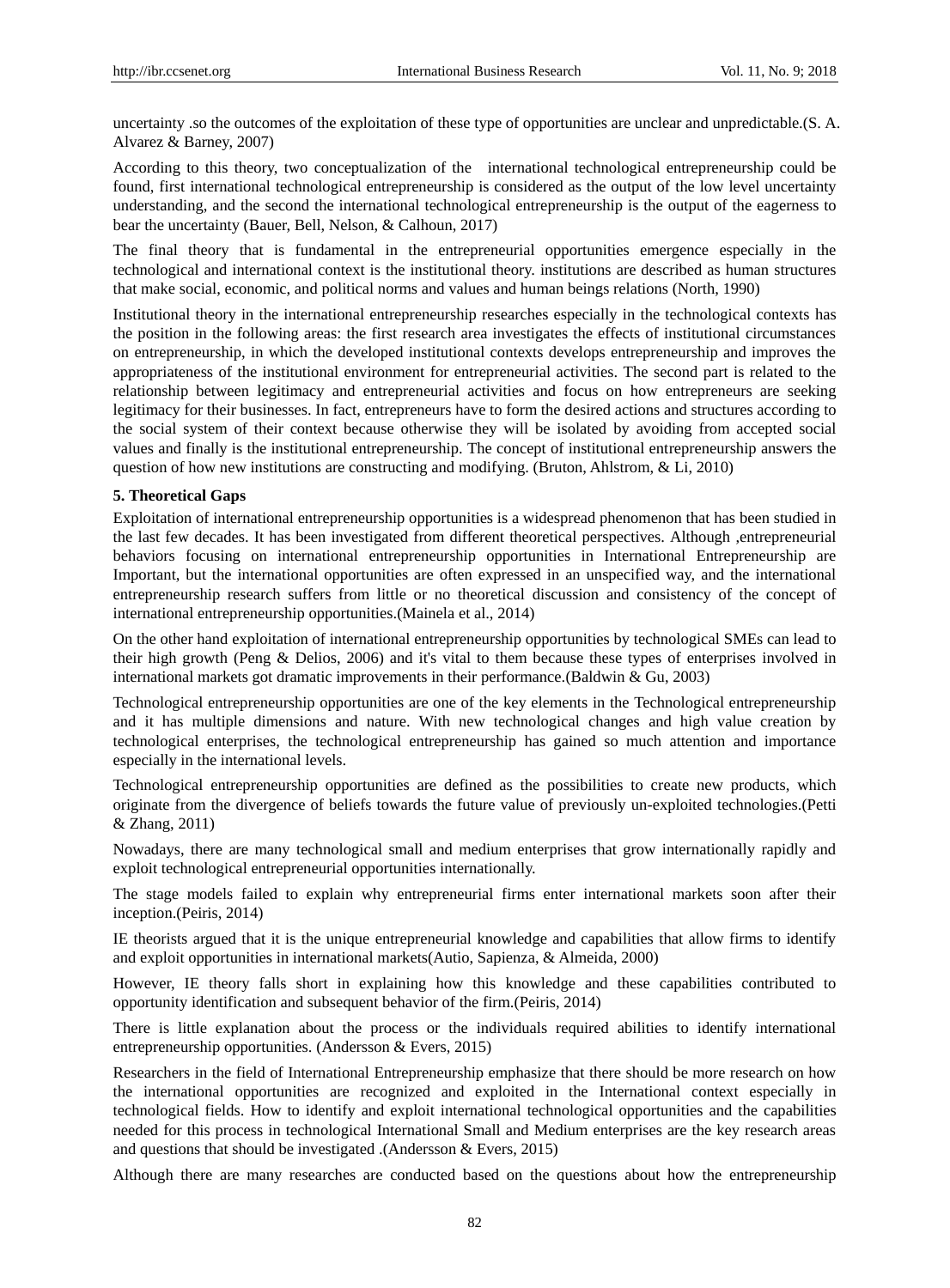uncertainty .so the outcomes of the exploitation of these type of opportunities are unclear and unpredictable.(S. A. Alvarez & Barney, 2007)

According to this theory, two conceptualization of the international technological entrepreneurship could be found, first international technological entrepreneurship is considered as the output of the low level uncertainty understanding, and the second the international technological entrepreneurship is the output of the eagerness to bear the uncertainty (Bauer, Bell, Nelson, & Calhoun, 2017)

The final theory that is fundamental in the entrepreneurial opportunities emergence especially in the technological and international context is the institutional theory. institutions are described as human structures that make social, economic, and political norms and values and human beings relations (North, 1990)

Institutional theory in the international entrepreneurship researches especially in the technological contexts has the position in the following areas: the first research area investigates the effects of institutional circumstances on entrepreneurship, in which the developed institutional contexts develops entrepreneurship and improves the appropriateness of the institutional environment for entrepreneurial activities. The second part is related to the relationship between legitimacy and entrepreneurial activities and focus on how entrepreneurs are seeking legitimacy for their businesses. In fact, entrepreneurs have to form the desired actions and structures according to the social system of their context because otherwise they will be isolated by avoiding from accepted social values and finally is the institutional entrepreneurship. The concept of institutional entrepreneurship answers the question of how new institutions are constructing and modifying. (Bruton, Ahlstrom, & Li, 2010)

## **5. Theoretical Gaps**

Exploitation of international entrepreneurship opportunities is a widespread phenomenon that has been studied in the last few decades. It has been investigated from different theoretical perspectives. Although ,entrepreneurial behaviors focusing on international entrepreneurship opportunities in International Entrepreneurship are Important, but the international opportunities are often expressed in an unspecified way, and the international entrepreneurship research suffers from little or no theoretical discussion and consistency of the concept of international entrepreneurship opportunities.(Mainela et al., 2014)

On the other hand exploitation of international entrepreneurship opportunities by technological SMEs can lead to their high growth (Peng & Delios, 2006) and it's vital to them because these types of enterprises involved in international markets got dramatic improvements in their performance.(Baldwin & Gu, 2003)

Technological entrepreneurship opportunities are one of the key elements in the Technological entrepreneurship and it has multiple dimensions and nature. With new technological changes and high value creation by technological enterprises, the technological entrepreneurship has gained so much attention and importance especially in the international levels.

Technological entrepreneurship opportunities are defined as the possibilities to create new products, which originate from the divergence of beliefs towards the future value of previously un-exploited technologies.(Petti & Zhang, 2011)

Nowadays, there are many technological small and medium enterprises that grow internationally rapidly and exploit technological entrepreneurial opportunities internationally.

The stage models failed to explain why entrepreneurial firms enter international markets soon after their inception.(Peiris, 2014)

IE theorists argued that it is the unique entrepreneurial knowledge and capabilities that allow firms to identify and exploit opportunities in international markets(Autio, Sapienza, & Almeida, 2000)

However, IE theory falls short in explaining how this knowledge and these capabilities contributed to opportunity identification and subsequent behavior of the firm.(Peiris, 2014)

There is little explanation about the process or the individuals required abilities to identify international entrepreneurship opportunities. (Andersson & Evers, 2015)

Researchers in the field of International Entrepreneurship emphasize that there should be more research on how the international opportunities are recognized and exploited in the International context especially in technological fields. How to identify and exploit international technological opportunities and the capabilities needed for this process in technological International Small and Medium enterprises are the key research areas and questions that should be investigated .(Andersson & Evers, 2015)

Although there are many researches are conducted based on the questions about how the entrepreneurship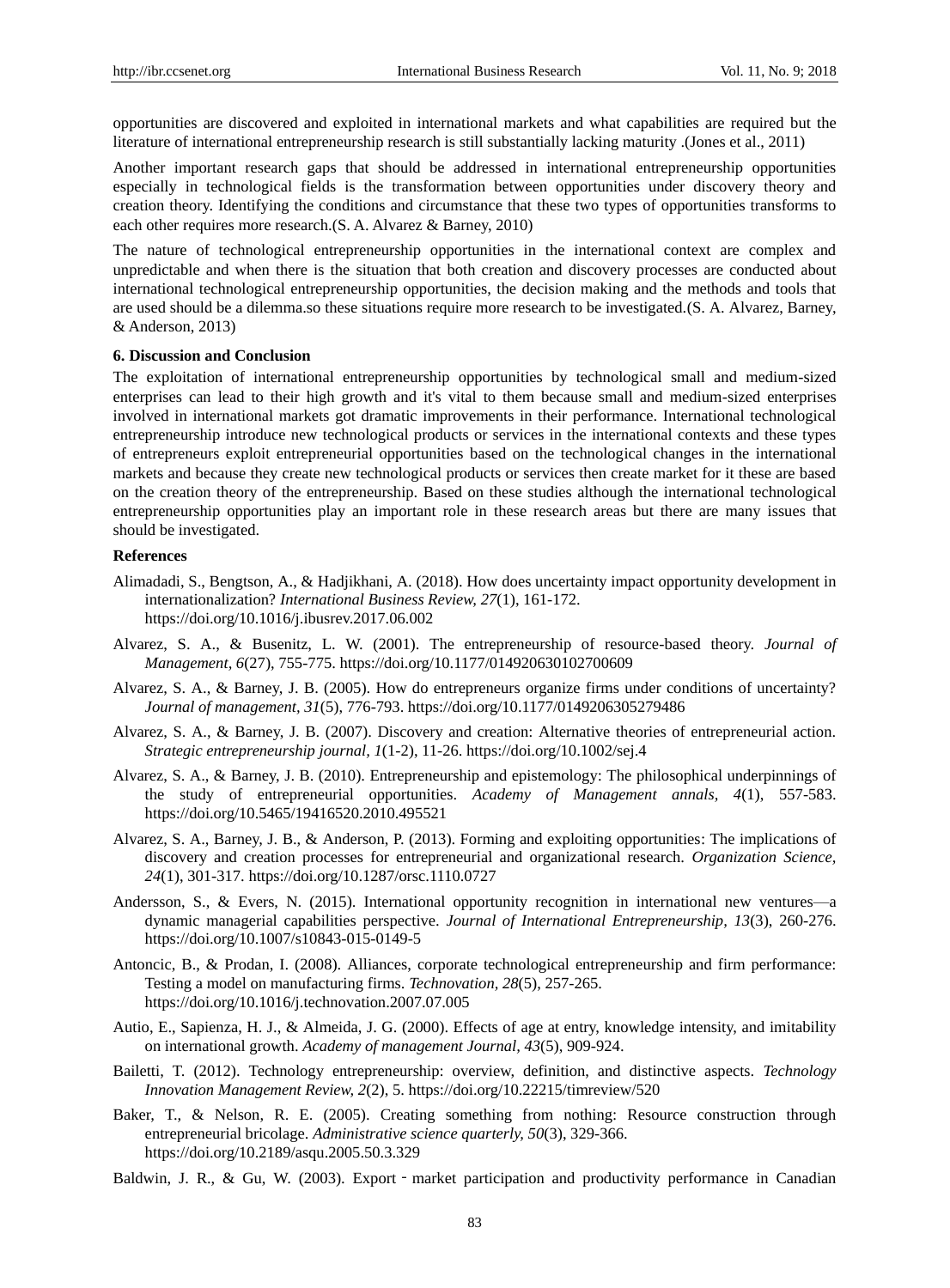opportunities are discovered and exploited in international markets and what capabilities are required but the literature of international entrepreneurship research is still substantially lacking maturity .(Jones et al., 2011)

Another important research gaps that should be addressed in international entrepreneurship opportunities especially in technological fields is the transformation between opportunities under discovery theory and creation theory. Identifying the conditions and circumstance that these two types of opportunities transforms to each other requires more research.(S. A. Alvarez & Barney, 2010)

The nature of technological entrepreneurship opportunities in the international context are complex and unpredictable and when there is the situation that both creation and discovery processes are conducted about international technological entrepreneurship opportunities, the decision making and the methods and tools that are used should be a dilemma.so these situations require more research to be investigated.(S. A. Alvarez, Barney, & Anderson, 2013)

#### **6. Discussion and Conclusion**

The exploitation of international entrepreneurship opportunities by technological small and medium-sized enterprises can lead to their high growth and it's vital to them because small and medium-sized enterprises involved in international markets got dramatic improvements in their performance. International technological entrepreneurship introduce new technological products or services in the international contexts and these types of entrepreneurs exploit entrepreneurial opportunities based on the technological changes in the international markets and because they create new technological products or services then create market for it these are based on the creation theory of the entrepreneurship. Based on these studies although the international technological entrepreneurship opportunities play an important role in these research areas but there are many issues that should be investigated.

## **References**

- Alimadadi, S., Bengtson, A., & Hadjikhani, A. (2018). How does uncertainty impact opportunity development in internationalization? *International Business Review, 27*(1), 161-172. https://doi.org/10.1016/j.ibusrev.2017.06.002
- Alvarez, S. A., & Busenitz, L. W. (2001). The entrepreneurship of resource-based theory. *Journal of Management, 6*(27), 755-775. https://doi.org/10.1177/014920630102700609
- Alvarez, S. A., & Barney, J. B. (2005). How do entrepreneurs organize firms under conditions of uncertainty? *Journal of management, 31*(5), 776-793. https://doi.org/10.1177/0149206305279486
- Alvarez, S. A., & Barney, J. B. (2007). Discovery and creation: Alternative theories of entrepreneurial action. *Strategic entrepreneurship journal, 1*(1-2), 11-26. https://doi.org/10.1002/sej.4
- Alvarez, S. A., & Barney, J. B. (2010). Entrepreneurship and epistemology: The philosophical underpinnings of the study of entrepreneurial opportunities. *Academy of Management annals, 4*(1), 557-583. https://doi.org/10.5465/19416520.2010.495521
- Alvarez, S. A., Barney, J. B., & Anderson, P. (2013). Forming and exploiting opportunities: The implications of discovery and creation processes for entrepreneurial and organizational research. *Organization Science, 24*(1), 301-317. https://doi.org/10.1287/orsc.1110.0727
- Andersson, S., & Evers, N. (2015). International opportunity recognition in international new ventures—a dynamic managerial capabilities perspective. *Journal of International Entrepreneurship, 13*(3), 260-276. https://doi.org/10.1007/s10843-015-0149-5
- Antoncic, B., & Prodan, I. (2008). Alliances, corporate technological entrepreneurship and firm performance: Testing a model on manufacturing firms. *Technovation, 28*(5), 257-265. https://doi.org/10.1016/j.technovation.2007.07.005
- Autio, E., Sapienza, H. J., & Almeida, J. G. (2000). Effects of age at entry, knowledge intensity, and imitability on international growth. *Academy of management Journal, 43*(5), 909-924.
- Bailetti, T. (2012). Technology entrepreneurship: overview, definition, and distinctive aspects. *Technology Innovation Management Review, 2*(2), 5. https://doi.org/10.22215/timreview/520
- Baker, T., & Nelson, R. E. (2005). Creating something from nothing: Resource construction through entrepreneurial bricolage. *Administrative science quarterly, 50*(3), 329-366. https://doi.org/10.2189/asqu.2005.50.3.329
- Baldwin, J. R., & Gu, W. (2003). Export market participation and productivity performance in Canadian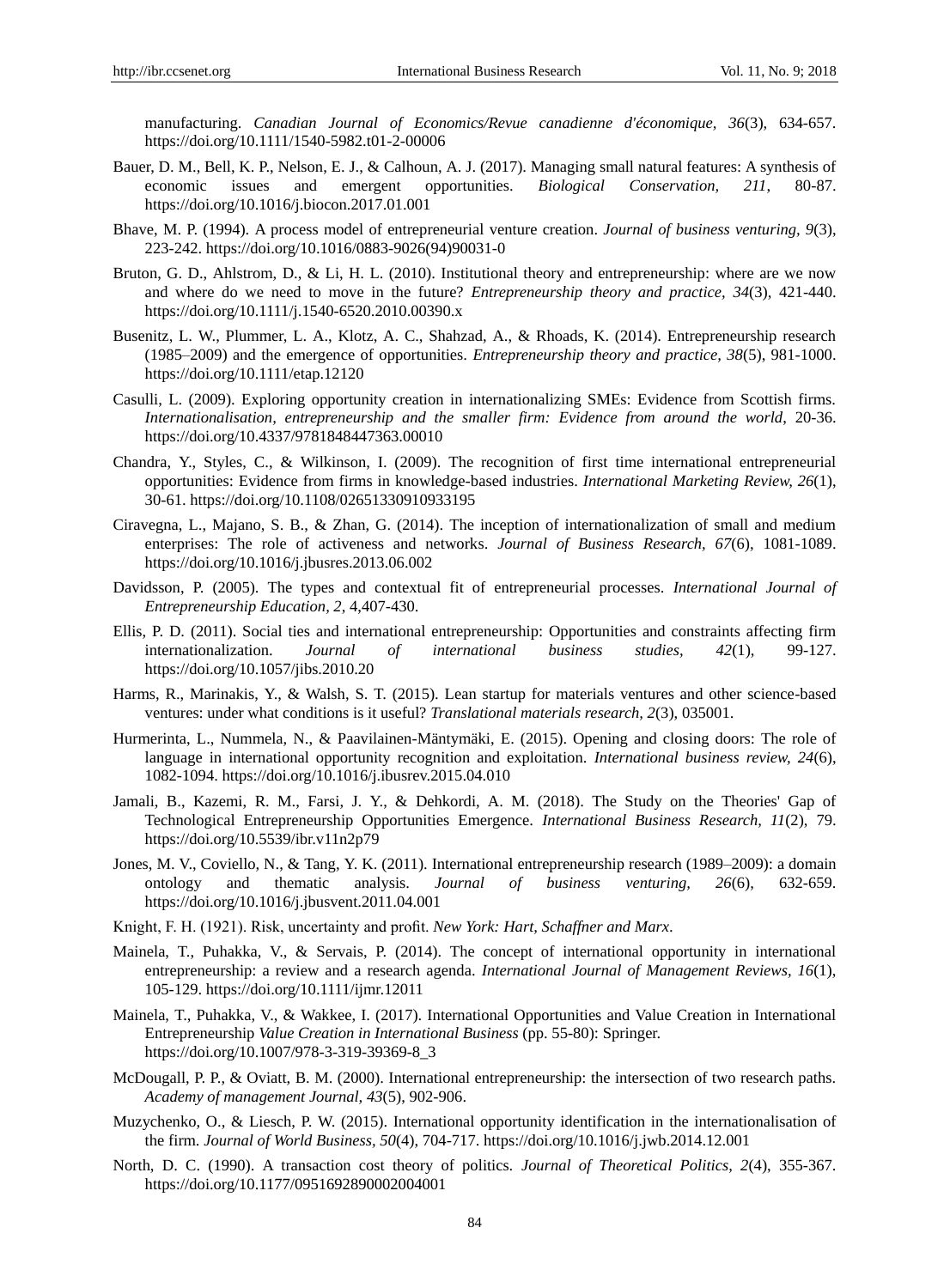manufacturing. *Canadian Journal of Economics/Revue canadienne d'économique, 36*(3), 634-657. https://doi.org/10.1111/1540-5982.t01-2-00006

- Bauer, D. M., Bell, K. P., Nelson, E. J., & Calhoun, A. J. (2017). Managing small natural features: A synthesis of economic issues and emergent opportunities. *Biological Conservation, 211*, 80-87. https://doi.org/10.1016/j.biocon.2017.01.001
- Bhave, M. P. (1994). A process model of entrepreneurial venture creation. *Journal of business venturing, 9*(3), 223-242. https://doi.org/10.1016/0883-9026(94)90031-0
- Bruton, G. D., Ahlstrom, D., & Li, H. L. (2010). Institutional theory and entrepreneurship: where are we now and where do we need to move in the future? *Entrepreneurship theory and practice, 34*(3), 421-440. https://doi.org/10.1111/j.1540-6520.2010.00390.x
- Busenitz, L. W., Plummer, L. A., Klotz, A. C., Shahzad, A., & Rhoads, K. (2014). Entrepreneurship research (1985–2009) and the emergence of opportunities. *Entrepreneurship theory and practice, 38*(5), 981-1000. https://doi.org/10.1111/etap.12120
- Casulli, L. (2009). Exploring opportunity creation in internationalizing SMEs: Evidence from Scottish firms. *Internationalisation, entrepreneurship and the smaller firm: Evidence from around the world*, 20-36. https://doi.org/10.4337/9781848447363.00010
- Chandra, Y., Styles, C., & Wilkinson, I. (2009). The recognition of first time international entrepreneurial opportunities: Evidence from firms in knowledge-based industries. *International Marketing Review, 26*(1), 30-61. https://doi.org/10.1108/02651330910933195
- Ciravegna, L., Majano, S. B., & Zhan, G. (2014). The inception of internationalization of small and medium enterprises: The role of activeness and networks. *Journal of Business Research, 67*(6), 1081-1089. https://doi.org/10.1016/j.jbusres.2013.06.002
- Davidsson, P. (2005). The types and contextual fit of entrepreneurial processes. *International Journal of Entrepreneurship Education, 2*, 4,407-430.
- Ellis, P. D. (2011). Social ties and international entrepreneurship: Opportunities and constraints affecting firm internationalization. *Journal of international business studies, 42*(1), 99-127. https://doi.org/10.1057/jibs.2010.20
- Harms, R., Marinakis, Y., & Walsh, S. T. (2015). Lean startup for materials ventures and other science-based ventures: under what conditions is it useful? *Translational materials research, 2*(3), 035001.
- Hurmerinta, L., Nummela, N., & Paavilainen-Mäntymäki, E. (2015). Opening and closing doors: The role of language in international opportunity recognition and exploitation. *International business review, 24*(6), 1082-1094. https://doi.org/10.1016/j.ibusrev.2015.04.010
- Jamali, B., Kazemi, R. M., Farsi, J. Y., & Dehkordi, A. M. (2018). The Study on the Theories' Gap of Technological Entrepreneurship Opportunities Emergence. *International Business Research, 11*(2), 79. https://doi.org/10.5539/ibr.v11n2p79
- Jones, M. V., Coviello, N., & Tang, Y. K. (2011). International entrepreneurship research (1989–2009): a domain ontology and thematic analysis. *Journal of business venturing, 26*(6), 632-659. https://doi.org/10.1016/j.jbusvent.2011.04.001
- Knight, F. H. (1921). Risk, uncertainty and profit. *New York: Hart, Schaffner and Marx*.
- Mainela, T., Puhakka, V., & Servais, P. (2014). The concept of international opportunity in international entrepreneurship: a review and a research agenda. *International Journal of Management Reviews, 16*(1), 105-129. https://doi.org/10.1111/ijmr.12011
- Mainela, T., Puhakka, V., & Wakkee, I. (2017). International Opportunities and Value Creation in International Entrepreneurship *Value Creation in International Business* (pp. 55-80): Springer. https://doi.org/10.1007/978-3-319-39369-8\_3
- McDougall, P. P., & Oviatt, B. M. (2000). International entrepreneurship: the intersection of two research paths. *Academy of management Journal, 43*(5), 902-906.
- Muzychenko, O., & Liesch, P. W. (2015). International opportunity identification in the internationalisation of the firm. *Journal of World Business, 50*(4), 704-717. https://doi.org/10.1016/j.jwb.2014.12.001
- North, D. C. (1990). A transaction cost theory of politics. *Journal of Theoretical Politics, 2*(4), 355-367. https://doi.org/10.1177/0951692890002004001